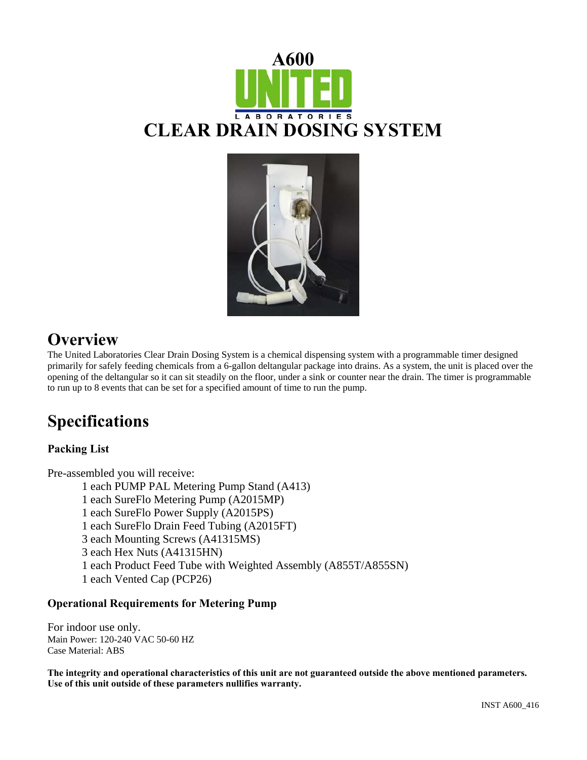



## **Overview**

The United Laboratories Clear Drain Dosing System is a chemical dispensing system with a programmable timer designed primarily for safely feeding chemicals from a 6-gallon deltangular package into drains. As a system, the unit is placed over the opening of the deltangular so it can sit steadily on the floor, under a sink or counter near the drain. The timer is programmable to run up to 8 events that can be set for a specified amount of time to run the pump.

# **Specifications**

## **Packing List**

Pre-assembled you will receive:

1 each PUMP PAL Metering Pump Stand (A413)

1 each SureFlo Metering Pump (A2015MP)

- 1 each SureFlo Power Supply (A2015PS)
- 1 each SureFlo Drain Feed Tubing (A2015FT)

3 each Mounting Screws (A41315MS)

- 3 each Hex Nuts (A41315HN)
- 1 each Product Feed Tube with Weighted Assembly (A855T/A855SN)
- 1 each Vented Cap (PCP26)

### **Operational Requirements for Metering Pump**

For indoor use only. Main Power: 120-240 VAC 50-60 HZ Case Material: ABS

**The integrity and operational characteristics of this unit are not guaranteed outside the above mentioned parameters. Use of this unit outside of these parameters nullifies warranty.**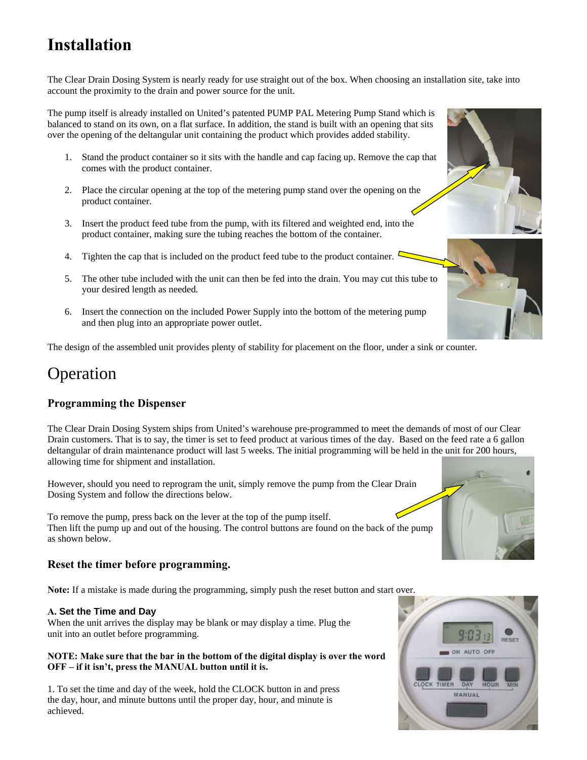# **Installation**

The Clear Drain Dosing System is nearly ready for use straight out of the box. When choosing an installation site, take into account the proximity to the drain and power source for the unit.

The pump itself is already installed on United's patented PUMP PAL Metering Pump Stand which is balanced to stand on its own, on a flat surface. In addition, the stand is built with an opening that sits over the opening of the deltangular unit containing the product which provides added stability.

- 1. Stand the product container so it sits with the handle and cap facing up. Remove the cap that comes with the product container.
- 2. Place the circular opening at the top of the metering pump stand over the opening on the product container.
- 3. Insert the product feed tube from the pump, with its filtered and weighted end, into the product container, making sure the tubing reaches the bottom of the container.
- 4. Tighten the cap that is included on the product feed tube to the product container.  $\mathcal{L}$
- 5. The other tube included with the unit can then be fed into the drain. You may cut this tube to your desired length as needed.
- 6. Insert the connection on the included Power Supply into the bottom of the metering pump and then plug into an appropriate power outlet.

The design of the assembled unit provides plenty of stability for placement on the floor, under a sink or counter.

## Operation

## **Programming the Dispenser**

The Clear Drain Dosing System ships from United's warehouse pre-programmed to meet the demands of most of our Clear Drain customers. That is to say, the timer is set to feed product at various times of the day. Based on the feed rate a 6 gallon deltangular of drain maintenance product will last 5 weeks. The initial programming will be held in the unit for 200 hours, allowing time for shipment and installation.

However, should you need to reprogram the unit, simply remove the pump from the Clear Drain Dosing System and follow the directions below.

To remove the pump, press back on the lever at the top of the pump itself. Then lift the pump up and out of the housing. The control buttons are found on the back of the pump as shown below.

### **Reset the timer before programming.**

**Note:** If a mistake is made during the programming, simply push the reset button and start over.

#### **A. Set the Time and Day**

When the unit arrives the display may be blank or may display a time. Plug the unit into an outlet before programming.

#### **NOTE: Make sure that the bar in the bottom of the digital display is over the word OFF – if it isn't, press the MANUAL button until it is.**

1. To set the time and day of the week, hold the CLOCK button in and press the day, hour, and minute buttons until the proper day, hour, and minute is achieved.







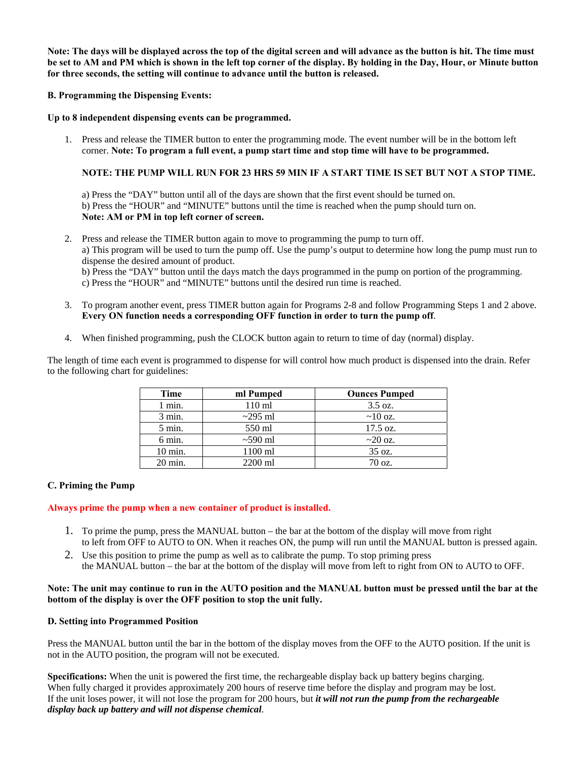**Note: The days will be displayed across the top of the digital screen and will advance as the button is hit. The time must be set to AM and PM which is shown in the left top corner of the display. By holding in the Day, Hour, or Minute button for three seconds, the setting will continue to advance until the button is released.** 

**B. Programming the Dispensing Events:** 

**Up to 8 independent dispensing events can be programmed.** 

1. Press and release the TIMER button to enter the programming mode. The event number will be in the bottom left corner. **Note: To program a full event, a pump start time and stop time will have to be programmed.** 

#### **NOTE: THE PUMP WILL RUN FOR 23 HRS 59 MIN IF A START TIME IS SET BUT NOT A STOP TIME.**

a) Press the "DAY" button until all of the days are shown that the first event should be turned on. b) Press the "HOUR" and "MINUTE" buttons until the time is reached when the pump should turn on. **Note: AM or PM in top left corner of screen.** 

- 2. Press and release the TIMER button again to move to programming the pump to turn off. a) This program will be used to turn the pump off. Use the pump's output to determine how long the pump must run to dispense the desired amount of product. b) Press the "DAY" button until the days match the days programmed in the pump on portion of the programming. c) Press the "HOUR" and "MINUTE" buttons until the desired run time is reached.
- 3. To program another event, press TIMER button again for Programs 2-8 and follow Programming Steps 1 and 2 above. **Every ON function needs a corresponding OFF function in order to turn the pump off**.
- 4. When finished programming, push the CLOCK button again to return to time of day (normal) display.

The length of time each event is programmed to dispense for will control how much product is dispensed into the drain. Refer to the following chart for guidelines:

| Time              | ml Pumped        | <b>Ounces Pumped</b> |
|-------------------|------------------|----------------------|
| 1 min.            | $110 \text{ ml}$ | $3.5 \text{ oz.}$    |
| $3 \text{ min.}$  | $\sim$ 295 ml    | $\sim 10$ oz.        |
| $5 \text{ min.}$  | 550 ml           | $17.5 \text{ oz.}$   |
| $6 \text{ min.}$  | $\sim$ 590 ml    | $\sim$ 20 oz.        |
| $10 \text{ min.}$ | $1100$ ml        | 35 oz.               |
| $20 \text{ min.}$ | 2200 ml          | $70 \text{ oz}$ .    |

#### **C. Priming the Pump**

#### **Always prime the pump when a new container of product is installed.**

- 1. To prime the pump, press the MANUAL button the bar at the bottom of the display will move from right to left from OFF to AUTO to ON. When it reaches ON, the pump will run until the MANUAL button is pressed again.
- 2. Use this position to prime the pump as well as to calibrate the pump. To stop priming press the MANUAL button – the bar at the bottom of the display will move from left to right from ON to AUTO to OFF.

#### **Note: The unit may continue to run in the AUTO position and the MANUAL button must be pressed until the bar at the bottom of the display is over the OFF position to stop the unit fully.**

#### **D. Setting into Programmed Position**

Press the MANUAL button until the bar in the bottom of the display moves from the OFF to the AUTO position. If the unit is not in the AUTO position, the program will not be executed.

**Specifications:** When the unit is powered the first time, the rechargeable display back up battery begins charging. When fully charged it provides approximately 200 hours of reserve time before the display and program may be lost. If the unit loses power, it will not lose the program for 200 hours, but *it will not run the pump from the rechargeable display back up battery and will not dispense chemical*.